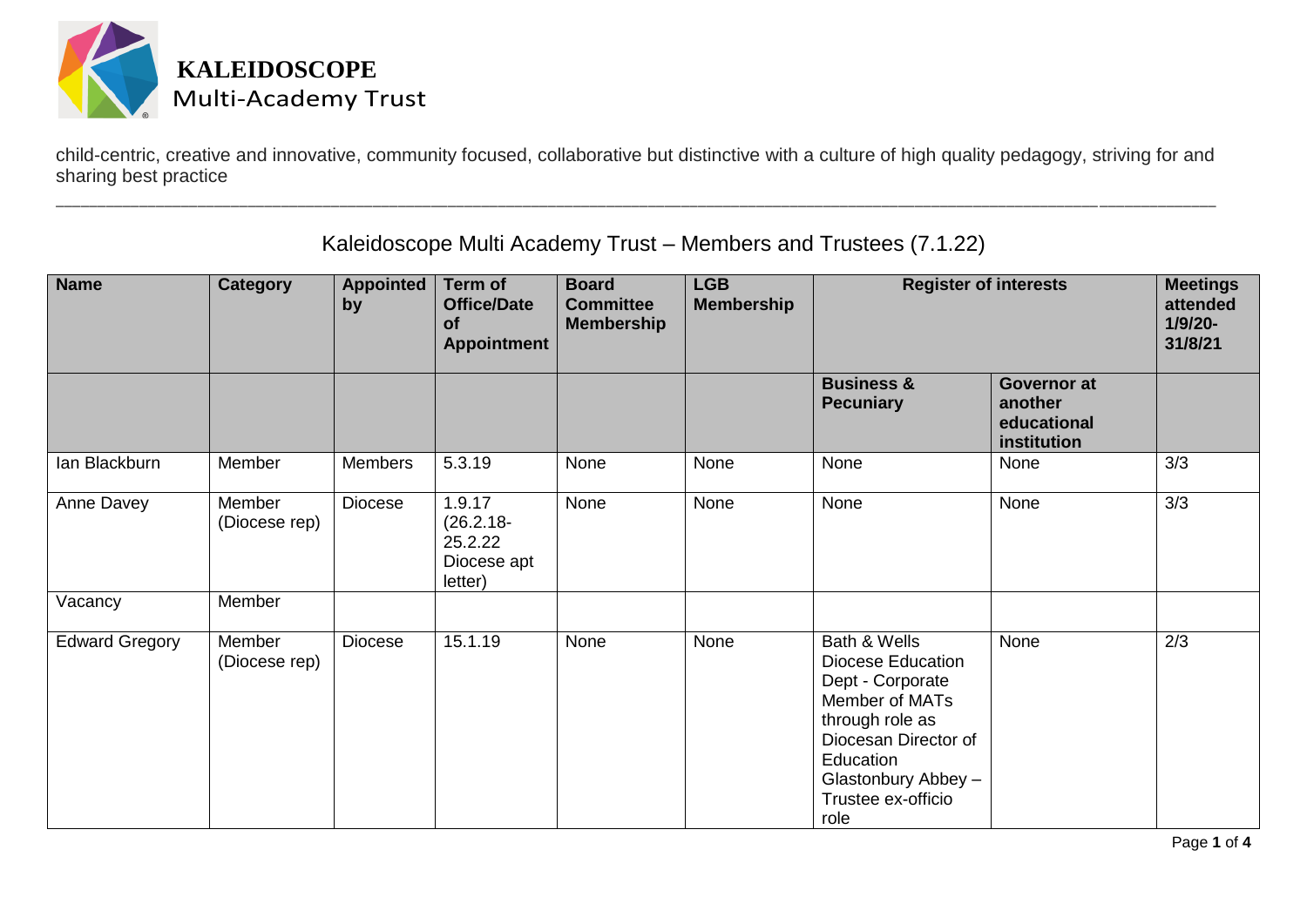

child-centric, creative and innovative, community focused, collaborative but distinctive with a culture of high quality pedagogy, striving for and sharing best practice

\_\_\_\_\_\_\_\_\_\_\_\_\_\_\_\_\_\_\_\_\_\_\_\_\_\_\_\_\_\_\_\_\_\_\_\_\_\_\_\_\_\_\_\_\_\_\_\_\_\_\_\_\_\_\_\_\_\_\_\_\_\_\_\_\_\_\_\_\_\_\_\_\_\_\_\_\_\_\_\_\_\_\_\_\_\_\_\_\_\_\_\_\_\_\_\_\_\_\_\_\_\_\_\_\_\_\_\_\_\_\_\_\_\_\_\_\_\_\_\_\_\_\_\_\_\_\_\_\_\_\_\_\_\_\_\_\_\_\_

| <b>Name</b>           | <b>Category</b>         | <b>Appointed</b><br>by | Term of<br><b>Office/Date</b><br>of<br><b>Appointment</b>   | <b>Board</b><br><b>Committee</b><br><b>Membership</b> | <b>LGB</b><br><b>Membership</b> | <b>Register of interests</b>                                                                                                                                                                |                                                             | <b>Meetings</b><br>attended<br>$1/9/20 -$<br>31/8/21 |
|-----------------------|-------------------------|------------------------|-------------------------------------------------------------|-------------------------------------------------------|---------------------------------|---------------------------------------------------------------------------------------------------------------------------------------------------------------------------------------------|-------------------------------------------------------------|------------------------------------------------------|
|                       |                         |                        |                                                             |                                                       |                                 | <b>Business &amp;</b><br><b>Pecuniary</b>                                                                                                                                                   | <b>Governor at</b><br>another<br>educational<br>institution |                                                      |
| lan Blackburn         | Member                  | <b>Members</b>         | 5.3.19                                                      | None                                                  | None                            | None                                                                                                                                                                                        | None                                                        | 3/3                                                  |
| Anne Davey            | Member<br>(Diocese rep) | Diocese                | 1.9.17<br>$(26.2.18 -$<br>25.2.22<br>Diocese apt<br>letter) | None                                                  | None                            | None                                                                                                                                                                                        | None                                                        | 3/3                                                  |
| Vacancy               | Member                  |                        |                                                             |                                                       |                                 |                                                                                                                                                                                             |                                                             |                                                      |
| <b>Edward Gregory</b> | Member<br>(Diocese rep) | Diocese                | 15.1.19                                                     | None                                                  | None                            | Bath & Wells<br><b>Diocese Education</b><br>Dept - Corporate<br>Member of MATs<br>through role as<br>Diocesan Director of<br>Education<br>Glastonbury Abbey -<br>Trustee ex-officio<br>role | None                                                        | 2/3                                                  |

Kaleidoscope Multi Academy Trust – Members and Trustees (7.1.22)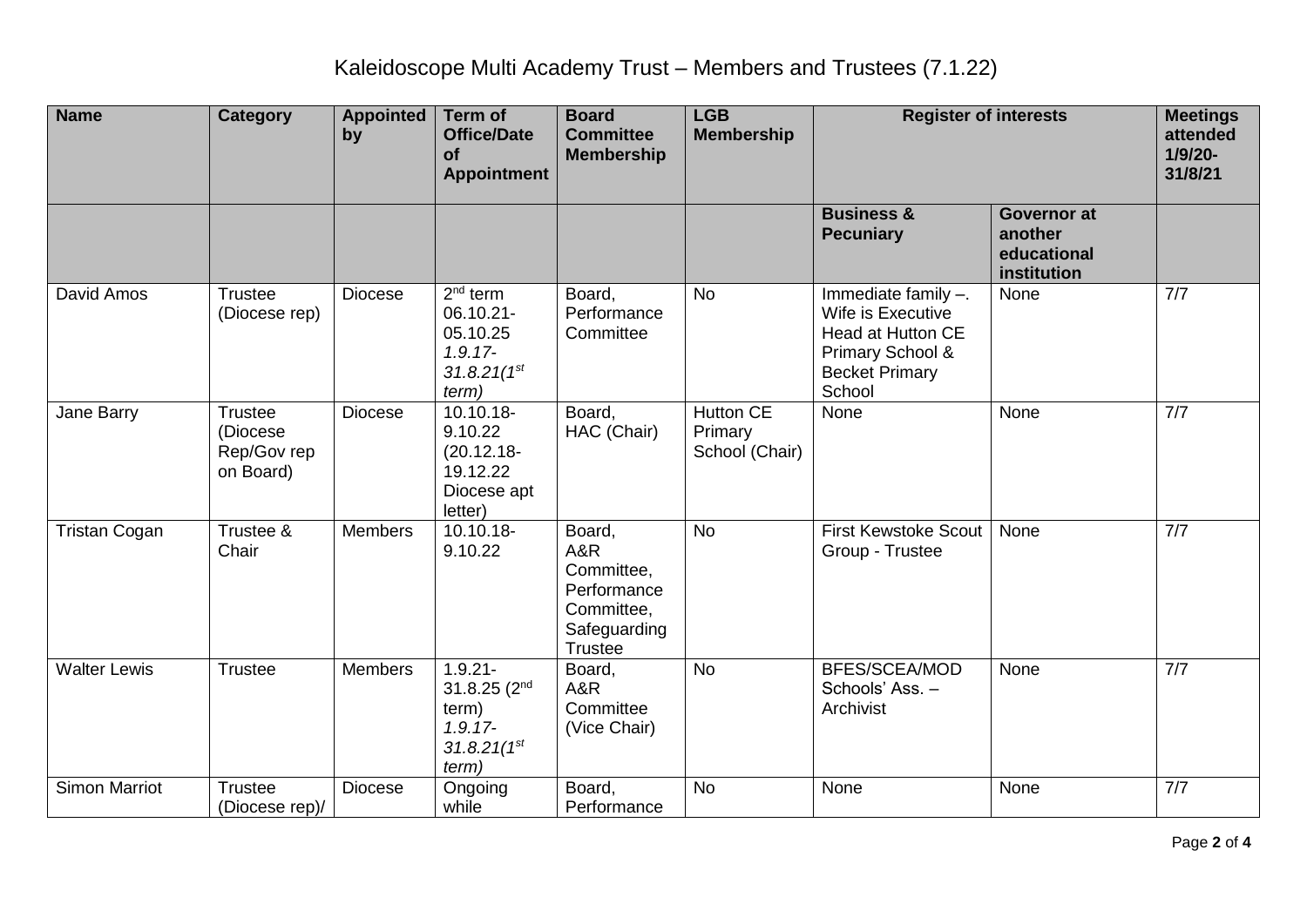| <b>Name</b>          | <b>Category</b>                                        | <b>Appointed</b><br>by | Term of<br><b>Office/Date</b><br><b>of</b><br><b>Appointment</b>                           | <b>Board</b><br><b>Committee</b><br><b>Membership</b>                                      | <b>LGB</b><br><b>Membership</b>               | <b>Register of interests</b>                                                                                                |                                                             | <b>Meetings</b><br>attended<br>$1/9/20 -$<br>31/8/21 |
|----------------------|--------------------------------------------------------|------------------------|--------------------------------------------------------------------------------------------|--------------------------------------------------------------------------------------------|-----------------------------------------------|-----------------------------------------------------------------------------------------------------------------------------|-------------------------------------------------------------|------------------------------------------------------|
|                      |                                                        |                        |                                                                                            |                                                                                            |                                               | <b>Business &amp;</b><br><b>Pecuniary</b>                                                                                   | <b>Governor at</b><br>another<br>educational<br>institution |                                                      |
| David Amos           | <b>Trustee</b><br>(Diocese rep)                        | <b>Diocese</b>         | $2nd$ term<br>06.10.21-<br>05.10.25<br>$1.9.17 -$<br>$31.8.21(1^{st}$<br>term)             | Board,<br>Performance<br>Committee                                                         | <b>No</b>                                     | Immediate family -.<br>Wife is Executive<br><b>Head at Hutton CE</b><br>Primary School &<br><b>Becket Primary</b><br>School | None                                                        | $\overline{7/7}$                                     |
| Jane Barry           | <b>Trustee</b><br>(Diocese<br>Rep/Gov rep<br>on Board) | <b>Diocese</b>         | 10.10.18-<br>9.10.22<br>$(20.12.18 -$<br>19.12.22<br>Diocese apt<br>letter)                | Board,<br>HAC (Chair)                                                                      | <b>Hutton CE</b><br>Primary<br>School (Chair) | None                                                                                                                        | None                                                        | 7/7                                                  |
| <b>Tristan Cogan</b> | Trustee &<br>Chair                                     | <b>Members</b>         | 10.10.18-<br>9.10.22                                                                       | Board,<br>A&R<br>Committee,<br>Performance<br>Committee,<br>Safeguarding<br><b>Trustee</b> | <b>No</b>                                     | <b>First Kewstoke Scout</b><br>Group - Trustee                                                                              | None                                                        | 7/7                                                  |
| <b>Walter Lewis</b>  | <b>Trustee</b>                                         | <b>Members</b>         | $1.9.21 -$<br>31.8.25 (2 <sup>nd</sup><br>term)<br>$1.9.17 -$<br>$31.8.21(1^{st}$<br>term) | Board,<br>A&R<br>Committee<br>(Vice Chair)                                                 | <b>No</b>                                     | <b>BFES/SCEA/MOD</b><br>Schools' Ass. -<br>Archivist                                                                        | None                                                        | 7/7                                                  |
| <b>Simon Marriot</b> | Trustee<br>(Diocese rep)/                              | <b>Diocese</b>         | Ongoing<br>while                                                                           | Board,<br>Performance                                                                      | <b>No</b>                                     | None                                                                                                                        | None                                                        | 7/7                                                  |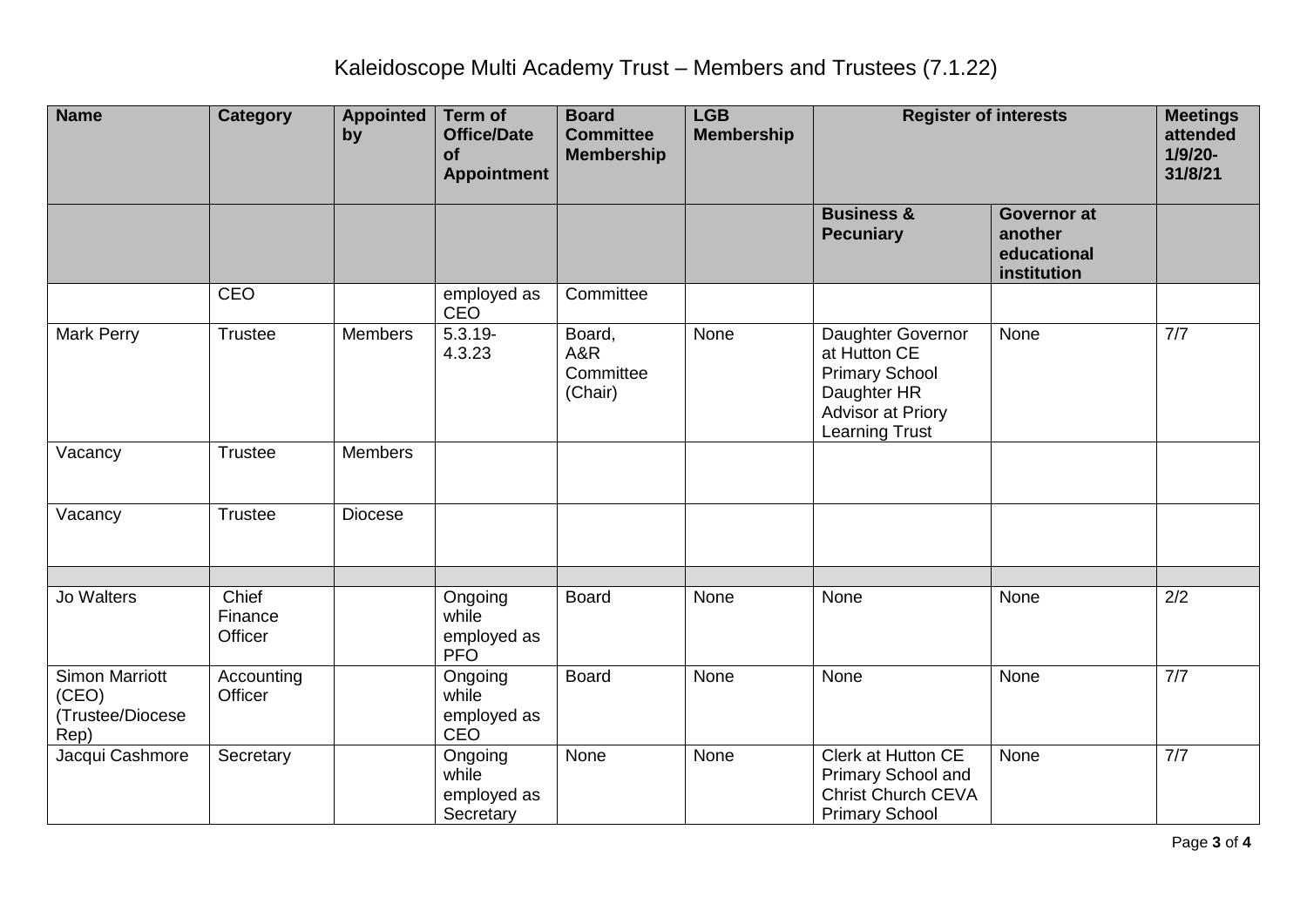| <b>Name</b>                                                | <b>Category</b>             | <b>Appointed</b><br>by | <b>Term of</b><br><b>Office/Date</b><br><b>of</b><br><b>Appointment</b> | <b>Board</b><br><b>Committee</b><br><b>Membership</b> | <b>LGB</b><br><b>Membership</b> | <b>Register of interests</b>                                                                                            |                                                             | <b>Meetings</b><br>attended<br>$1/9/20 -$<br>31/8/21 |
|------------------------------------------------------------|-----------------------------|------------------------|-------------------------------------------------------------------------|-------------------------------------------------------|---------------------------------|-------------------------------------------------------------------------------------------------------------------------|-------------------------------------------------------------|------------------------------------------------------|
|                                                            |                             |                        |                                                                         |                                                       |                                 | <b>Business &amp;</b><br><b>Pecuniary</b>                                                                               | <b>Governor at</b><br>another<br>educational<br>institution |                                                      |
|                                                            | <b>CEO</b>                  |                        | employed as<br><b>CEO</b>                                               | Committee                                             |                                 |                                                                                                                         |                                                             |                                                      |
| <b>Mark Perry</b>                                          | Trustee                     | <b>Members</b>         | $5.3.19 -$<br>4.3.23                                                    | Board,<br>A&R<br>Committee<br>(Chair)                 | None                            | Daughter Governor<br>at Hutton CE<br><b>Primary School</b><br>Daughter HR<br>Advisor at Priory<br><b>Learning Trust</b> | None                                                        | 7/7                                                  |
| Vacancy                                                    | <b>Trustee</b>              | <b>Members</b>         |                                                                         |                                                       |                                 |                                                                                                                         |                                                             |                                                      |
| Vacancy                                                    | <b>Trustee</b>              | <b>Diocese</b>         |                                                                         |                                                       |                                 |                                                                                                                         |                                                             |                                                      |
| <b>Jo Walters</b>                                          | Chief<br>Finance<br>Officer |                        | Ongoing<br>while<br>employed as<br><b>PFO</b>                           | <b>Board</b>                                          | None                            | None                                                                                                                    | None                                                        | 2/2                                                  |
| <b>Simon Marriott</b><br>(CEO)<br>(Trustee/Diocese<br>Rep) | Accounting<br>Officer       |                        | Ongoing<br>while<br>employed as<br><b>CEO</b>                           | <b>Board</b>                                          | None                            | None                                                                                                                    | None                                                        | 7/7                                                  |
| Jacqui Cashmore                                            | Secretary                   |                        | Ongoing<br>while<br>employed as<br>Secretary                            | None                                                  | None                            | <b>Clerk at Hutton CE</b><br>Primary School and<br>Christ Church CEVA<br><b>Primary School</b>                          | None                                                        | 7/7                                                  |